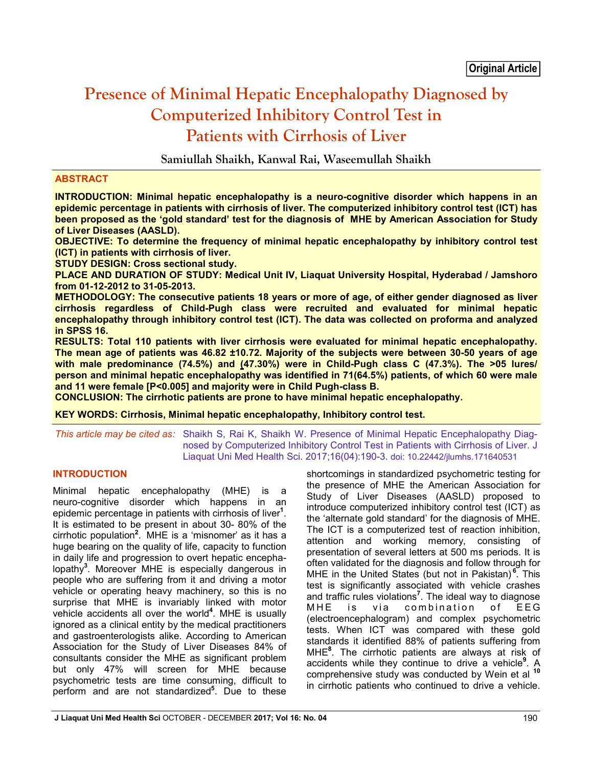# **Presence of Minimal Hepatic Encephalopathy Diagnosed by Computerized Inhibitory Control Test in Patients with Cirrhosis of Liver**

**Samiullah Shaikh, Kanwal Rai, Waseemullah Shaikh**

## **ABSTRACT**

**INTRODUCTION: Minimal hepatic encephalopathy is a neuro-cognitive disorder which happens in an epidemic percentage in patients with cirrhosis of liver. The computerized inhibitory control test (ICT) has been proposed as the 'gold standard' test for the diagnosis of MHE by American Association for Study of Liver Diseases (AASLD).**

**OBJECTIVE: To determine the frequency of minimal hepatic encephalopathy by inhibitory control test (ICT) in patients with cirrhosis of liver.**

**STUDY DESIGN: Cross sectional study.**

**PLACE AND DURATION OF STUDY: Medical Unit IV, Liaquat University Hospital, Hyderabad / Jamshoro from 01-12-2012 to 31-05-2013.**

**METHODOLOGY: The consecutive patients 18 years or more of age, of either gender diagnosed as liver cirrhosis regardless of Child-Pugh class were recruited and evaluated for minimal hepatic encephalopathy through inhibitory control test (ICT). The data was collected on proforma and analyzed in SPSS 16.** 

**RESULTS: Total 110 patients with liver cirrhosis were evaluated for minimal hepatic encephalopathy. The mean age of patients was 46.82 ±10.72. Majority of the subjects were between 30-50 years of age with male predominance (74.5%) and (47.30%) were in Child-Pugh class C (47.3%). The >05 lures/ person and minimal hepatic encephalopathy was identified in 71(64.5%) patients, of which 60 were male and 11 were female [P<0.005] and majority were in Child Pugh-class B.**

**CONCLUSION: The cirrhotic patients are prone to have minimal hepatic encephalopathy.** 

**KEY WORDS: Cirrhosis, Minimal hepatic encephalopathy, Inhibitory control test.**

*This article may be cited as:* Shaikh S, Rai K, Shaikh W. Presence of Minimal Hepatic Encephalopathy Diagnosed by Computerized Inhibitory Control Test in Patients with Cirrhosis of Liver. J Liaquat Uni Med Health Sci. 2017;16(04):190-3. doi: 10.22442/jlumhs.171640531

## **INTRODUCTION**

Minimal hepatic encephalopathy (MHE) is a neuro-cognitive disorder which happens in an epidemic percentage in patients with cirrhosis of liver**<sup>1</sup>** . It is estimated to be present in about 30- 80% of the cirrhotic population**<sup>2</sup>** . MHE is a 'misnomer' as it has a huge bearing on the quality of life, capacity to function in daily life and progression to overt hepatic encephalopathy**<sup>3</sup>** . Moreover MHE is especially dangerous in people who are suffering from it and driving a motor vehicle or operating heavy machinery, so this is no surprise that MHE is invariably linked with motor vehicle accidents all over the world**<sup>4</sup>** . MHE is usually ignored as a clinical entity by the medical practitioners and gastroenterologists alike. According to American Association for the Study of Liver Diseases 84% of consultants consider the MHE as significant problem but only 47% will screen for MHE because psychometric tests are time consuming, difficult to perform and are not standardized**<sup>5</sup>** . Due to these shortcomings in standardized psychometric testing for the presence of MHE the American Association for Study of Liver Diseases (AASLD) proposed to introduce computerized inhibitory control test (ICT) as the 'alternate gold standard' for the diagnosis of MHE. The ICT is a computerized test of reaction inhibition, attention and working memory, consisting of presentation of several letters at 500 ms periods. It is often validated for the diagnosis and follow through for MHE in the United States (but not in Pakistan) **<sup>6</sup>** . This test is significantly associated with vehicle crashes and traffic rules violations**<sup>7</sup>** . The ideal way to diagnose MHE is via combination of EEG (electroencephalogram) and complex psychometric tests. When ICT was compared with these gold standards it identified 88% of patients suffering from MHE**<sup>8</sup>** . The cirrhotic patients are always at risk of accidents while they continue to drive a vehicle**<sup>9</sup>** . A comprehensive study was conducted by Wein et al **<sup>10</sup>** in cirrhotic patients who continued to drive a vehicle.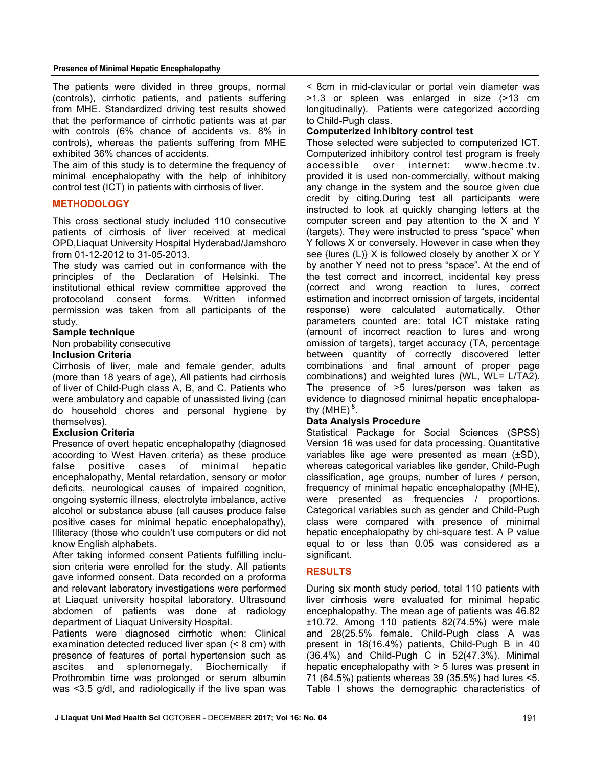#### **Presence of Minimal Hepatic Encephalopathy**

The patients were divided in three groups, normal (controls), cirrhotic patients, and patients suffering from MHE. Standardized driving test results showed that the performance of cirrhotic patients was at par with controls (6% chance of accidents vs. 8% in controls), whereas the patients suffering from MHE exhibited 36% chances of accidents.

The aim of this study is to determine the frequency of minimal encephalopathy with the help of inhibitory control test (ICT) in patients with cirrhosis of liver.

## **METHODOLOGY**

This cross sectional study included 110 consecutive patients of cirrhosis of liver received at medical OPD,Liaquat University Hospital Hyderabad/Jamshoro from 01-12-2012 to 31-05-2013.

The study was carried out in conformance with the principles of the Declaration of Helsinki. The institutional ethical review committee approved the protocoland consent forms. Written informed permission was taken from all participants of the study.

## **Sample technique**

Non probability consecutive

## **Inclusion Criteria**

Cirrhosis of liver, male and female gender, adults (more than 18 years of age), All patients had cirrhosis of liver of Child-Pugh class A, B, and C. Patients who were ambulatory and capable of unassisted living (can do household chores and personal hygiene by themselves).

## **Exclusion Criteria**

Presence of overt hepatic encephalopathy (diagnosed according to West Haven criteria) as these produce false positive cases of minimal hepatic encephalopathy, Mental retardation, sensory or motor deficits, neurological causes of impaired cognition, ongoing systemic illness, electrolyte imbalance, active alcohol or substance abuse (all causes produce false positive cases for minimal hepatic encephalopathy), Illiteracy (those who couldn't use computers or did not know English alphabets.

After taking informed consent Patients fulfilling inclusion criteria were enrolled for the study. All patients gave informed consent. Data recorded on a proforma and relevant laboratory investigations were performed at Liaquat university hospital laboratory. Ultrasound abdomen of patients was done at radiology department of Liaquat University Hospital.

Patients were diagnosed cirrhotic when: Clinical examination detected reduced liver span (< 8 cm) with presence of features of portal hypertension such as ascites and splenomegaly, Biochemically if Prothrombin time was prolonged or serum albumin was <3.5 g/dl, and radiologically if the live span was < 8cm in mid-clavicular or portal vein diameter was >1.3 or spleen was enlarged in size (>13 cm longitudinally). Patients were categorized according to Child-Pugh class.

## **Computerized inhibitory control test**

Those selected were subjected to computerized ICT. Computerized inhibitory control test program is freely accessible over internet: www.hecme.tv. provided it is used non-commercially, without making any change in the system and the source given due credit by citing.During test all participants were instructed to look at quickly changing letters at the computer screen and pay attention to the X and Y (targets). They were instructed to press "space" when Y follows X or conversely. However in case when they see {lures (L)} X is followed closely by another X or Y by another Y need not to press "space". At the end of the test correct and incorrect, incidental key press (correct and wrong reaction to lures, correct estimation and incorrect omission of targets, incidental response) were calculated automatically. Other parameters counted are: total ICT mistake rating (amount of incorrect reaction to lures and wrong omission of targets), target accuracy (TA, percentage between quantity of correctly discovered letter combinations and final amount of proper page combinations) and weighted lures (WL, WL= L/TA2). The presence of >5 lures/person was taken as evidence to diagnosed minimal hepatic encephalopathy (MHE)<sup>8</sup>.

## **Data Analysis Procedure**

Statistical Package for Social Sciences (SPSS) Version 16 was used for data processing. Quantitative variables like age were presented as mean (±SD), whereas categorical variables like gender, Child-Pugh classification, age groups, number of lures / person, frequency of minimal hepatic encephalopathy (MHE), were presented as frequencies / proportions. Categorical variables such as gender and Child-Pugh class were compared with presence of minimal hepatic encephalopathy by chi-square test. A P value equal to or less than 0.05 was considered as a significant.

## **RESULTS**

During six month study period, total 110 patients with liver cirrhosis were evaluated for minimal hepatic encephalopathy. The mean age of patients was 46.82 ±10.72. Among 110 patients 82(74.5%) were male and 28(25.5% female. Child-Pugh class A was present in 18(16.4%) patients, Child-Pugh B in 40 (36.4%) and Child-Pugh C in 52(47.3%). Minimal hepatic encephalopathy with > 5 lures was present in 71 (64.5%) patients whereas 39 (35.5%) had lures <5. Table I shows the demographic characteristics of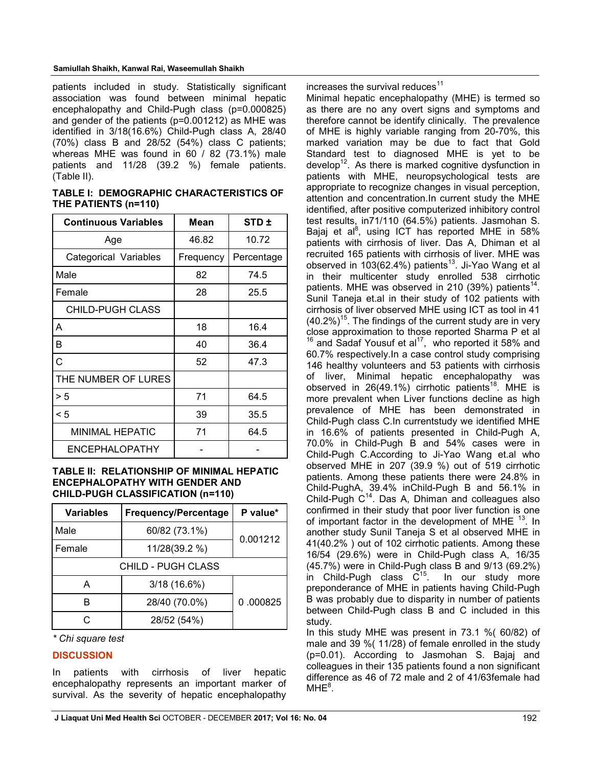#### **Samiullah Shaikh, Kanwal Rai, Waseemullah Shaikh**

patients included in study. Statistically significant association was found between minimal hepatic encephalopathy and Child-Pugh class (p=0.000825) and gender of the patients (p=0.001212) as MHE was identified in 3/18(16.6%) Child-Pugh class A, 28/40 (70%) class B and 28/52 (54%) class C patients; whereas MHE was found in 60 / 82 (73.1%) male patients and 11/28 (39.2 %) female patients. (Table II).

**TABLE I: DEMOGRAPHIC CHARACTERISTICS OF THE PATIENTS (n=110)**

| <b>Continuous Variables</b> | Mean      | STD <sub>±</sub> |
|-----------------------------|-----------|------------------|
| Age                         | 46.82     | 10.72            |
| Categorical Variables       | Frequency | Percentage       |
| Male                        | 82        | 74.5             |
| Female                      | 28        | 25.5             |
| <b>CHILD-PUGH CLASS</b>     |           |                  |
| A                           | 18        | 16.4             |
| B                           | 40        | 36.4             |
| C                           | 52        | 47.3             |
| THE NUMBER OF LURES         |           |                  |
| > 5                         | 71        | 64.5             |
| < 5                         | 39        | 35.5             |
| <b>MINIMAL HEPATIC</b>      | 71        | 64.5             |
| ENCEPHALOPATHY              |           |                  |

#### **TABLE II: RELATIONSHIP OF MINIMAL HEPATIC ENCEPHALOPATHY WITH GENDER AND CHILD-PUGH CLASSIFICATION (n=110)**

| Frequency/Percentage<br><b>Variables</b> |                           | P value* |
|------------------------------------------|---------------------------|----------|
| Male                                     | 60/82 (73.1%)<br>0.001212 |          |
| Female                                   | 11/28(39.2 %)             |          |
| CHILD - PUGH CLASS                       |                           |          |
| А                                        | 3/18 (16.6%)              |          |
|                                          | 28/40 (70.0%)             | 0.000825 |
|                                          | 28/52 (54%)               |          |

*\* Chi square test*

## **DISCUSSION**

In patients with cirrhosis of liver hepatic encephalopathy represents an important marker of survival. As the severity of hepatic encephalopathy increases the survival reduces $11$ 

Minimal hepatic encephalopathy (MHE) is termed so as there are no any overt signs and symptoms and therefore cannot be identify clinically. The prevalence of MHE is highly variable ranging from 20-70%, this marked variation may be due to fact that Gold Standard test to diagnosed MHE is yet to be develop<sup>12</sup>. As there is marked cognitive dysfunction in patients with MHE, neuropsychological tests are appropriate to recognize changes in visual perception, attention and concentration.In current study the MHE identified, after positive computerized inhibitory control test results, in71/110 (64.5%) patients. Jasmohan S. Bajaj et al $^{8}$ , using ICT has reported MHE in 58% patients with cirrhosis of liver. Das A, Dhiman et al recruited 165 patients with cirrhosis of liver. MHE was observed in  $103(62.4%)$  patients<sup>13</sup>. Ji-Yao Wang et al in their multicenter study enrolled 538 cirrhotic patients. MHE was observed in 210 (39%) patients $^{14}$ . Sunil Taneja et.al in their study of 102 patients with cirrhosis of liver observed MHE using ICT as tool in 41  $(40.2\%)$ <sup>15</sup>. The findings of the current study are in very close approximation to those reported Sharma P et al  $16$  and Sadaf Yousuf et al<sup>17</sup>, who reported it 58% and 60.7% respectively.In a case control study comprising 146 healthy volunteers and 53 patients with cirrhosis of liver, Minimal hepatic encephalopathy was observed in 26(49.1%) cirrhotic patients<sup>18</sup>. MHE is more prevalent when Liver functions decline as high prevalence of MHE has been demonstrated in Child-Pugh class C.In currentstudy we identified MHE in 16.6% of patients presented in Child-Pugh A, 70.0% in Child-Pugh B and 54% cases were in Child-Pugh C.According to Ji-Yao Wang et.al who observed MHE in 207 (39.9 %) out of 519 cirrhotic patients. Among these patients there were 24.8% in Child-PughA, 39.4% inChild-Pugh B and 56.1% in Child-Pugh  $C^{14}$ . Das A, Dhiman and colleagues also confirmed in their study that poor liver function is one of important factor in the development of MHE  $<sup>13</sup>$ . In</sup> another study Sunil Taneja S et al observed MHE in 41(40.2% ) out of 102 cirrhotic patients. Among these 16/54 (29.6%) were in Child-Pugh class A, 16/35 (45.7%) were in Child-Pugh class B and 9/13 (69.2%) in Child-Pugh class  $C^{15}$ . In our study more preponderance of MHE in patients having Child-Pugh B was probably due to disparity in number of patients between Child-Pugh class B and C included in this study.

In this study MHE was present in 73.1 %( 60/82) of male and 39 %( 11/28) of female enrolled in the study (p=0.01). According to Jasmohan S. Bajaj and colleagues in their 135 patients found a non significant difference as 46 of 72 male and 2 of 41/63female had  $MHz<sup>8</sup>$ .